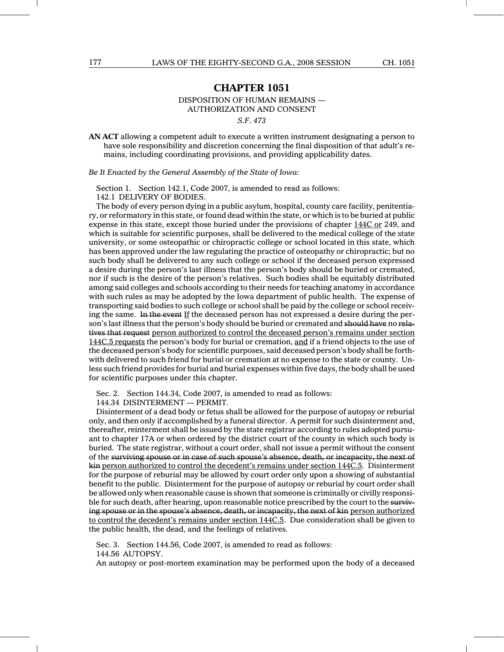## **CHAPTER 1051**

DISPOSITION OF HUMAN REMAINS —

AUTHORIZATION AND CONSENT

*S.F. 473*

**AN ACT** allowing a competent adult to execute a written instrument designating a person to have sole responsibility and discretion concerning the final disposition of that adult's remains, including coordinating provisions, and providing applicability dates.

*Be It Enacted by the General Assembly of the State of Iowa:*

Section 1. Section 142.1, Code 2007, is amended to read as follows: 142.1 DELIVERY OF BODIES.

The body of every person dying in a public asylum, hospital, county care facility, penitentiary, or reformatory in this state, or found dead within the state, or which is to be buried at public expense in this state, except those buried under the provisions of chapter 144C or 249, and which is suitable for scientific purposes, shall be delivered to the medical college of the state university, or some osteopathic or chiropractic college or school located in this state, which has been approved under the law regulating the practice of osteopathy or chiropractic; but no such body shall be delivered to any such college or school if the deceased person expressed a desire during the person's last illness that the person's body should be buried or cremated, nor if such is the desire of the person's relatives. Such bodies shall be equitably distributed among said colleges and schools according to their needs for teaching anatomy in accordance with such rules as may be adopted by the Iowa department of public health. The expense of transporting said bodies to such college or school shall be paid by the college or school receiving the same. In the event If the deceased person has not expressed a desire during the person's last illness that the person's body should be buried or cremated and should have no relatives that request person authorized to control the deceased person's remains under section 144C.5 requests the person's body for burial or cremation, and if a friend objects to the use of the deceased person's body for scientific purposes, said deceased person's body shall be forthwith delivered to such friend for burial or cremation at no expense to the state or county. Unless such friend provides for burial and burial expenses within five days, the body shall be used for scientific purposes under this chapter.

Sec. 2. Section 144.34, Code 2007, is amended to read as follows:

144.34 DISINTERMENT — PERMIT.

Disinterment of a dead body or fetus shall be allowed for the purpose of autopsy or reburial only, and then only if accomplished by a funeral director. A permit for such disinterment and, thereafter, reinterment shall be issued by the state registrar according to rules adopted pursuant to chapter 17A or when ordered by the district court of the county in which such body is buried. The state registrar, without a court order, shall not issue a permit without the consent of the surviving spouse or in case of such spouse's absence, death, or incapacity, the next of kin person authorized to control the decedent's remains under section 144C.5. Disinterment for the purpose of reburial may be allowed by court order only upon a showing of substantial benefit to the public. Disinterment for the purpose of autopsy or reburial by court order shall be allowed only when reasonable cause is shown that someone is criminally or civilly responsible for such death, after hearing, upon reasonable notice prescribed by the court to the surviving spouse or in the spouse's absence, death, or incapacity, the next of kin person authorized to control the decedent's remains under section 144C.5. Due consideration shall be given to the public health, the dead, and the feelings of relatives.

Sec. 3. Section 144.56, Code 2007, is amended to read as follows:

144.56 AUTOPSY.

An autopsy or post-mortem examination may be performed upon the body of a deceased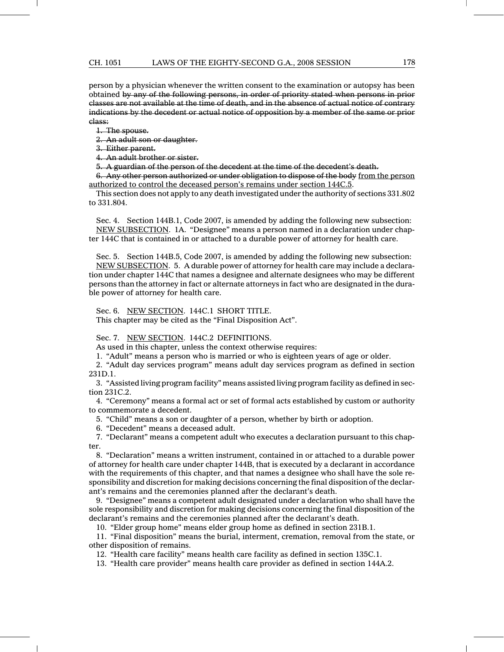person by a physician whenever the written consent to the examination or autopsy has been obtained by any of the following persons, in order of priority stated when persons in prior classes are not available at the time of death, and in the absence of actual notice of contrary indications by the decedent or actual notice of opposition by a member of the same or prior class:

1. The spouse.

2. An adult son or daughter.

3. Either parent.

4. An adult brother or sister.

5. A guardian of the person of the decedent at the time of the decedent's death.

6. Any other person authorized or under obligation to dispose of the body from the person authorized to control the deceased person's remains under section 144C.5.

This section does not apply to any death investigated under the authority of sections 331.802 to 331.804.

Sec. 4. Section 144B.1, Code 2007, is amended by adding the following new subsection: NEW SUBSECTION. 1A. "Designee" means a person named in a declaration under chapter 144C that is contained in or attached to a durable power of attorney for health care.

Sec. 5. Section 144B.5, Code 2007, is amended by adding the following new subsection: NEW SUBSECTION. 5. A durable power of attorney for health care may include a declaration under chapter 144C that names a designee and alternate designees who may be different persons than the attorney in fact or alternate attorneys in fact who are designated in the durable power of attorney for health care.

Sec. 6. NEW SECTION. 144C.1 SHORT TITLE. This chapter may be cited as the "Final Disposition Act".

Sec. 7. NEW SECTION. 144C.2 DEFINITIONS.

As used in this chapter, unless the context otherwise requires:

1. "Adult" means a person who is married or who is eighteen years of age or older.

2. "Adult day services program" means adult day services program as defined in section 231D.1.

3. "Assisted living program facility" means assisted living program facility as defined in section 231C.2.

4. "Ceremony" means a formal act or set of formal acts established by custom or authority to commemorate a decedent.

5. "Child" means a son or daughter of a person, whether by birth or adoption.

6. "Decedent" means a deceased adult.

7. "Declarant" means a competent adult who executes a declaration pursuant to this chapter.

8. "Declaration" means a written instrument, contained in or attached to a durable power of attorney for health care under chapter 144B, that is executed by a declarant in accordance with the requirements of this chapter, and that names a designee who shall have the sole responsibility and discretion for making decisions concerning the final disposition of the declarant's remains and the ceremonies planned after the declarant's death.

9. "Designee" means a competent adult designated under a declaration who shall have the sole responsibility and discretion for making decisions concerning the final disposition of the declarant's remains and the ceremonies planned after the declarant's death.

10. "Elder group home" means elder group home as defined in section 231B.1.

11. "Final disposition" means the burial, interment, cremation, removal from the state, or other disposition of remains.

12. "Health care facility" means health care facility as defined in section 135C.1.

13. "Health care provider" means health care provider as defined in section 144A.2.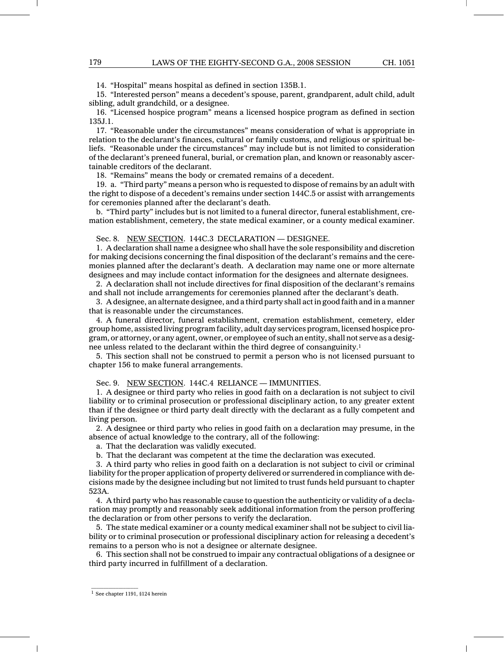14. "Hospital" means hospital as defined in section 135B.1.

15. "Interested person" means a decedent's spouse, parent, grandparent, adult child, adult sibling, adult grandchild, or a designee.

16. "Licensed hospice program" means a licensed hospice program as defined in section 135J.1.

17. "Reasonable under the circumstances" means consideration of what is appropriate in relation to the declarant's finances, cultural or family customs, and religious or spiritual beliefs. "Reasonable under the circumstances" may include but is not limited to consideration of the declarant's preneed funeral, burial, or cremation plan, and known or reasonably ascertainable creditors of the declarant.

18. "Remains" means the body or cremated remains of a decedent.

19. a. "Third party" means a person who is requested to dispose of remains by an adult with the right to dispose of a decedent's remains under section 144C.5 or assist with arrangements for ceremonies planned after the declarant's death.

b. "Third party" includes but is not limited to a funeral director, funeral establishment, cremation establishment, cemetery, the state medical examiner, or a county medical examiner.

Sec. 8. NEW SECTION. 144C.3 DECLARATION — DESIGNEE.

1. A declaration shall name a designee who shall have the sole responsibility and discretion for making decisions concerning the final disposition of the declarant's remains and the ceremonies planned after the declarant's death. A declaration may name one or more alternate designees and may include contact information for the designees and alternate designees.

2. A declaration shall not include directives for final disposition of the declarant's remains and shall not include arrangements for ceremonies planned after the declarant's death.

3. A designee, an alternate designee, and a third party shall act in good faith and in a manner that is reasonable under the circumstances.

4. A funeral director, funeral establishment, cremation establishment, cemetery, elder group home, assisted living program facility, adult day services program, licensed hospice program, or attorney, or any agent, owner, or employee of such an entity, shall not serve as a designee unless related to the declarant within the third degree of consanguinity.1

5. This section shall not be construed to permit a person who is not licensed pursuant to chapter 156 to make funeral arrangements.

Sec. 9. NEW SECTION. 144C.4 RELIANCE - IMMUNITIES.

1. A designee or third party who relies in good faith on a declaration is not subject to civil liability or to criminal prosecution or professional disciplinary action, to any greater extent than if the designee or third party dealt directly with the declarant as a fully competent and living person.

2. A designee or third party who relies in good faith on a declaration may presume, in the absence of actual knowledge to the contrary, all of the following:

a. That the declaration was validly executed.

b. That the declarant was competent at the time the declaration was executed.

3. A third party who relies in good faith on a declaration is not subject to civil or criminal liability for the proper application of property delivered or surrendered in compliance with decisions made by the designee including but not limited to trust funds held pursuant to chapter 523A.

4. A third party who has reasonable cause to question the authenticity or validity of a declaration may promptly and reasonably seek additional information from the person proffering the declaration or from other persons to verify the declaration.

5. The state medical examiner or a county medical examiner shall not be subject to civil liability or to criminal prosecution or professional disciplinary action for releasing a decedent's remains to a person who is not a designee or alternate designee.

6. This section shall not be construed to impair any contractual obligations of a designee or third party incurred in fulfillment of a declaration.

1 See chapter 1191, §124 herein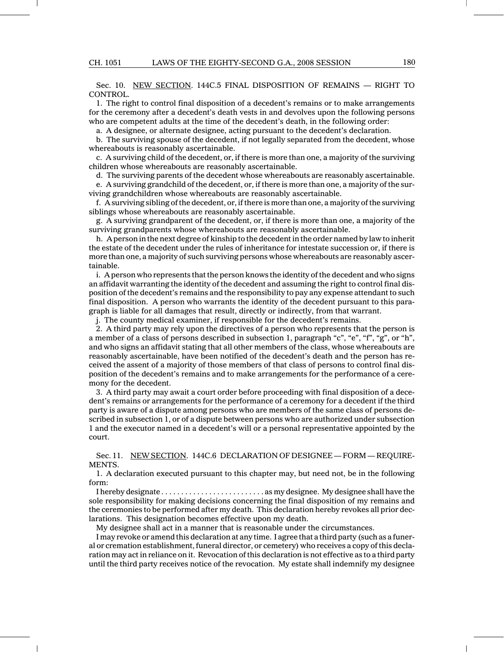Sec. 10. NEW SECTION. 144C.5 FINAL DISPOSITION OF REMAINS — RIGHT TO CONTROL.

1. The right to control final disposition of a decedent's remains or to make arrangements for the ceremony after a decedent's death vests in and devolves upon the following persons who are competent adults at the time of the decedent's death, in the following order:

a. A designee, or alternate designee, acting pursuant to the decedent's declaration.

b. The surviving spouse of the decedent, if not legally separated from the decedent, whose whereabouts is reasonably ascertainable.

c. A surviving child of the decedent, or, if there is more than one, a majority of the surviving children whose whereabouts are reasonably ascertainable.

d. The surviving parents of the decedent whose whereabouts are reasonably ascertainable.

e. A surviving grandchild of the decedent, or, if there is more than one, a majority of the surviving grandchildren whose whereabouts are reasonably ascertainable.

f. A surviving sibling of the decedent, or, if there is more than one, a majority of the surviving siblings whose whereabouts are reasonably ascertainable.

g. A surviving grandparent of the decedent, or, if there is more than one, a majority of the surviving grandparents whose whereabouts are reasonably ascertainable.

h. A person in the next degree of kinship to the decedent in the order named by law to inherit the estate of the decedent under the rules of inheritance for intestate succession or, if there is more than one, a majority of such surviving persons whose whereabouts are reasonably ascertainable.

i. A person who represents that the person knows the identity of the decedent and who signs an affidavit warranting the identity of the decedent and assuming the right to control final disposition of the decedent's remains and the responsibility to pay any expense attendant to such final disposition. A person who warrants the identity of the decedent pursuant to this paragraph is liable for all damages that result, directly or indirectly, from that warrant.

j. The county medical examiner, if responsible for the decedent's remains.

2. A third party may rely upon the directives of a person who represents that the person is a member of a class of persons described in subsection 1, paragraph "c", "e", "f", "g", or "h", and who signs an affidavit stating that all other members of the class, whose whereabouts are reasonably ascertainable, have been notified of the decedent's death and the person has received the assent of a majority of those members of that class of persons to control final disposition of the decedent's remains and to make arrangements for the performance of a ceremony for the decedent.

3. A third party may await a court order before proceeding with final disposition of a decedent's remains or arrangements for the performance of a ceremony for a decedent if the third party is aware of a dispute among persons who are members of the same class of persons described in subsection 1, or of a dispute between persons who are authorized under subsection 1 and the executor named in a decedent's will or a personal representative appointed by the court.

Sec. 11. NEW SECTION. 144C.6 DECLARATION OF DESIGNEE — FORM — REQUIRE-MENTS.

1. A declaration executed pursuant to this chapter may, but need not, be in the following form:

I hereby designate . . . . . . . . . . . . . . . . . . . . . . . . . . as my designee. My designee shall have the sole responsibility for making decisions concerning the final disposition of my remains and the ceremonies to be performed after my death. This declaration hereby revokes all prior declarations. This designation becomes effective upon my death.

My designee shall act in a manner that is reasonable under the circumstances.

I may revoke or amend this declaration at any time. I agree that a third party (such as a funeral or cremation establishment, funeral director, or cemetery) who receives a copy of this declaration may act in reliance on it. Revocation of this declaration is not effective as to a third party until the third party receives notice of the revocation. My estate shall indemnify my designee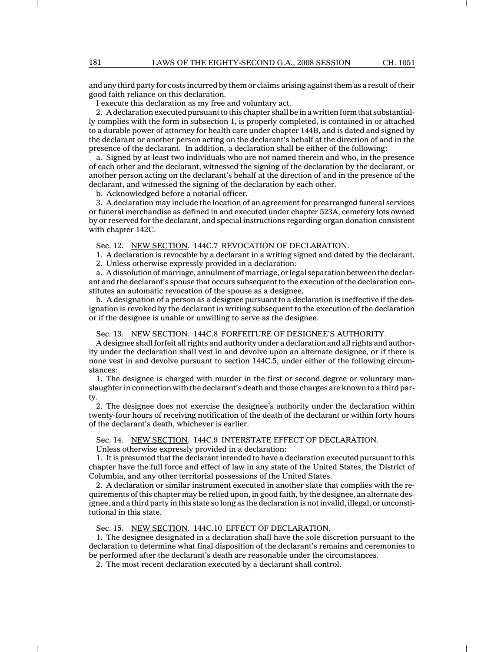and any third party for costs incurred by them or claims arising against them as a result of their good faith reliance on this declaration.

I execute this declaration as my free and voluntary act.

2. A declaration executed pursuant to this chapter shall be in a written form that substantially complies with the form in subsection 1, is properly completed, is contained in or attached to a durable power of attorney for health care under chapter 144B, and is dated and signed by the declarant or another person acting on the declarant's behalf at the direction of and in the presence of the declarant. In addition, a declaration shall be either of the following:

a. Signed by at least two individuals who are not named therein and who, in the presence of each other and the declarant, witnessed the signing of the declaration by the declarant, or another person acting on the declarant's behalf at the direction of and in the presence of the declarant, and witnessed the signing of the declaration by each other.

b. Acknowledged before a notarial officer.

3. A declaration may include the location of an agreement for prearranged funeral services or funeral merchandise as defined in and executed under chapter 523A, cemetery lots owned by or reserved for the declarant, and special instructions regarding organ donation consistent with chapter 142C.

Sec. 12. NEW SECTION. 144C.7 REVOCATION OF DECLARATION.

1. A declaration is revocable by a declarant in a writing signed and dated by the declarant.

2. Unless otherwise expressly provided in a declaration:

a. A dissolution of marriage, annulment of marriage, or legal separation between the declarant and the declarant's spouse that occurs subsequent to the execution of the declaration constitutes an automatic revocation of the spouse as a designee.

b. A designation of a person as a designee pursuant to a declaration is ineffective if the designation is revoked by the declarant in writing subsequent to the execution of the declaration or if the designee is unable or unwilling to serve as the designee.

Sec. 13. NEW SECTION. 144C.8 FORFEITURE OF DESIGNEE'S AUTHORITY.

A designee shall forfeit all rights and authority under a declaration and all rights and authority under the declaration shall vest in and devolve upon an alternate designee, or if there is none vest in and devolve pursuant to section 144C.5, under either of the following circumstances:

1. The designee is charged with murder in the first or second degree or voluntary manslaughter in connection with the declarant's death and those charges are known to a third party.

2. The designee does not exercise the designee's authority under the declaration within twenty-four hours of receiving notification of the death of the declarant or within forty hours of the declarant's death, whichever is earlier.

Sec. 14. NEW SECTION. 144C.9 INTERSTATE EFFECT OF DECLARATION.

Unless otherwise expressly provided in a declaration:

1. It is presumed that the declarant intended to have a declaration executed pursuant to this chapter have the full force and effect of law in any state of the United States, the District of Columbia, and any other territorial possessions of the United States.

2. A declaration or similar instrument executed in another state that complies with the requirements of this chapter may be relied upon, in good faith, by the designee, an alternate designee, and a third party in this state so long as the declaration is not invalid, illegal, or unconstitutional in this state.

Sec. 15. NEW SECTION. 144C.10 EFFECT OF DECLARATION.

1. The designee designated in a declaration shall have the sole discretion pursuant to the declaration to determine what final disposition of the declarant's remains and ceremonies to be performed after the declarant's death are reasonable under the circumstances.

2. The most recent declaration executed by a declarant shall control.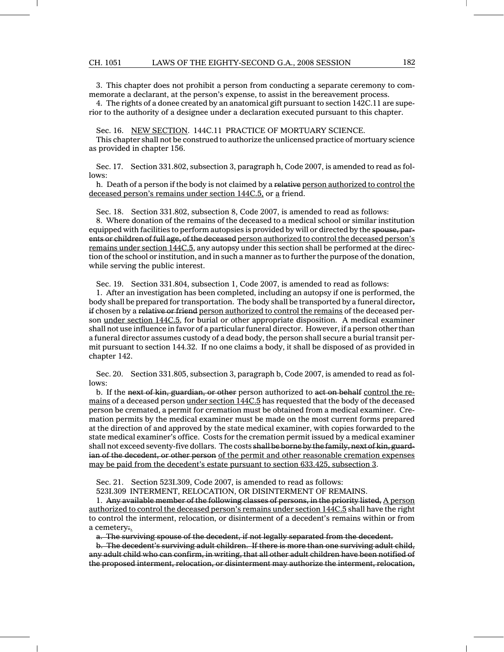## CH. 1051 LAWS OF THE EIGHTY-SECOND G.A., 2008 SESSION 182

3. This chapter does not prohibit a person from conducting a separate ceremony to commemorate a declarant, at the person's expense, to assist in the bereavement process.

4. The rights of a donee created by an anatomical gift pursuant to section 142C.11 are superior to the authority of a designee under a declaration executed pursuant to this chapter.

Sec. 16. NEW SECTION. 144C.11 PRACTICE OF MORTUARY SCIENCE.

This chapter shall not be construed to authorize the unlicensed practice of mortuary science as provided in chapter 156.

Sec. 17. Section 331.802, subsection 3, paragraph h, Code 2007, is amended to read as follows:

h. Death of a person if the body is not claimed by a relative person authorized to control the deceased person's remains under section 144C.5, or a friend.

Sec. 18. Section 331.802, subsection 8, Code 2007, is amended to read as follows:

8. Where donation of the remains of the deceased to a medical school or similar institution equipped with facilities to perform autopsies is provided by will or directed by the spouse, parents or children of full age, of the deceased person authorized to control the deceased person's remains under section 144C.5, any autopsy under this section shall be performed at the direction of the school or institution, and in such a manner as to further the purpose of the donation, while serving the public interest.

Sec. 19. Section 331.804, subsection 1, Code 2007, is amended to read as follows:

1. After an investigation has been completed, including an autopsy if one is performed, the body shall be prepared for transportation. The body shall be transported by a funeral directorif chosen by a relative or friend person authorized to control the remains of the deceased person under section 144C.5, for burial or other appropriate disposition. A medical examiner shall not use influence in favor of a particular funeral director. However, if a person other than a funeral director assumes custody of a dead body, the person shall secure a burial transit permit pursuant to section 144.32. If no one claims a body, it shall be disposed of as provided in chapter 142.

Sec. 20. Section 331.805, subsection 3, paragraph b, Code 2007, is amended to read as follows:

b. If the next of kin, guardian, or other person authorized to act on behalf control the remains of a deceased person under section 144C.5 has requested that the body of the deceased person be cremated, a permit for cremation must be obtained from a medical examiner. Cremation permits by the medical examiner must be made on the most current forms prepared at the direction of and approved by the state medical examiner, with copies forwarded to the state medical examiner's office. Costs for the cremation permit issued by a medical examiner shall not exceed seventy-five dollars. The costs shall be borne by the family, next of kin, guardian of the decedent, or other person of the permit and other reasonable cremation expenses may be paid from the decedent's estate pursuant to section 633.425, subsection 3.

Sec. 21. Section 523I.309, Code 2007, is amended to read as follows:

523I.309 INTERMENT, RELOCATION, OR DISINTERMENT OF REMAINS.

1. Any available member of the following classes of persons, in the priority listed, A person authorized to control the deceased person's remains under section 144C.5 shall have the right to control the interment, relocation, or disinterment of a decedent's remains within or from a cemetery:.

a. The surviving spouse of the decedent, if not legally separated from the decedent.

b. The decedent's surviving adult children. If there is more than one surviving adult child, any adult child who can confirm, in writing, that all other adult children have been notified of the proposed interment, relocation, or disinterment may authorize the interment, relocation,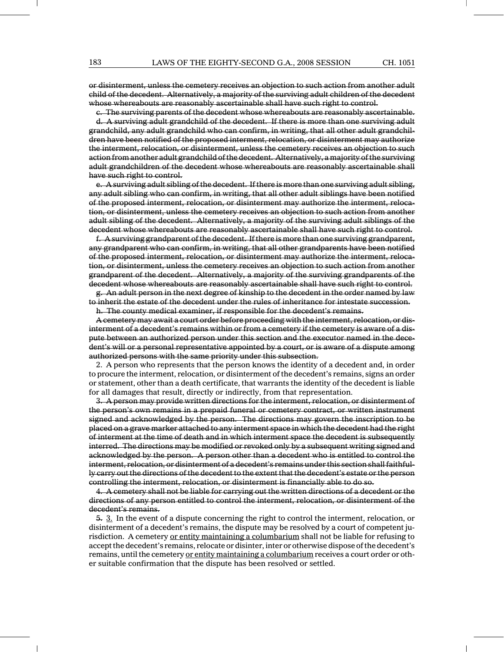or disinterment, unless the cemetery receives an objection to such action from another adult child of the decedent. Alternatively, a majority of the surviving adult children of the decedent whose whereabouts are reasonably ascertainable shall have such right to control.

c. The surviving parents of the decedent whose whereabouts are reasonably ascertainable. d. A surviving adult grandchild of the decedent. If there is more than one surviving adult grandchild, any adult grandchild who can confirm, in writing, that all other adult grandchildren have been notified of the proposed interment, relocation, or disinterment may authorize the interment, relocation, or disinterment, unless the cemetery receives an objection to such action from another adult grandchild of the decedent. Alternatively, a majority of the surviving adult grandchildren of the decedent whose whereabouts are reasonably ascertainable shall have such right to control.

e. A surviving adult sibling of the decedent. If there is more than one surviving adult sibling, any adult sibling who can confirm, in writing, that all other adult siblings have been notified of the proposed interment, relocation, or disinterment may authorize the interment, relocation, or disinterment, unless the cemetery receives an objection to such action from another adult sibling of the decedent. Alternatively, a majority of the surviving adult siblings of the decedent whose whereabouts are reasonably ascertainable shall have such right to control.

f. A surviving grandparent of the decedent. If there is more than one surviving grandparent, any grandparent who can confirm, in writing, that all other grandparents have been notified of the proposed interment, relocation, or disinterment may authorize the interment, relocation, or disinterment, unless the cemetery receives an objection to such action from another grandparent of the decedent. Alternatively, a majority of the surviving grandparents of the decedent whose whereabouts are reasonably ascertainable shall have such right to control.

g. An adult person in the next degree of kinship to the decedent in the order named by law to inherit the estate of the decedent under the rules of inheritance for intestate succession.

h. The county medical examiner, if responsible for the decedent's remains.

A cemetery may await a court order before proceeding with the interment, relocation, or disinterment of a decedent's remains within or from a cemetery if the cemetery is aware of a dispute between an authorized person under this section and the executor named in the decedent's will or a personal representative appointed by a court, or is aware of a dispute among authorized persons with the same priority under this subsection.

2. A person who represents that the person knows the identity of a decedent and, in order to procure the interment, relocation, or disinterment of the decedent's remains, signs an order or statement, other than a death certificate, that warrants the identity of the decedent is liable for all damages that result, directly or indirectly, from that representation.

3. A person may provide written directions for the interment, relocation, or disinterment of the person's own remains in a prepaid funeral or cemetery contract, or written instrument signed and acknowledged by the person. The directions may govern the inscription to be placed on a grave marker attached to any interment space in which the decedent had the right of interment at the time of death and in which interment space the decedent is subsequently interred. The directions may be modified or revoked only by a subsequent writing signed and acknowledged by the person. A person other than a decedent who is entitled to control the interment, relocation, or disinterment of a decedent's remains under this section shallfaithfully carry out the directions of the decedent to the extent that the decedent's estate or the person controlling the interment, relocation, or disinterment is financially able to do so.

4. A cemetery shall not be liable for carrying out the written directions of a decedent or the directions of any person entitled to control the interment, relocation, or disinterment of the decedent's remains.

5. 3. In the event of a dispute concerning the right to control the interment, relocation, or disinterment of a decedent's remains, the dispute may be resolved by a court of competent jurisdiction. A cemetery or entity maintaining a columbarium shall not be liable for refusing to accept the decedent's remains, relocate or disinter, inter or otherwise dispose of the decedent's remains, until the cemetery or entity maintaining a columbarium receives a court order or other suitable confirmation that the dispute has been resolved or settled.